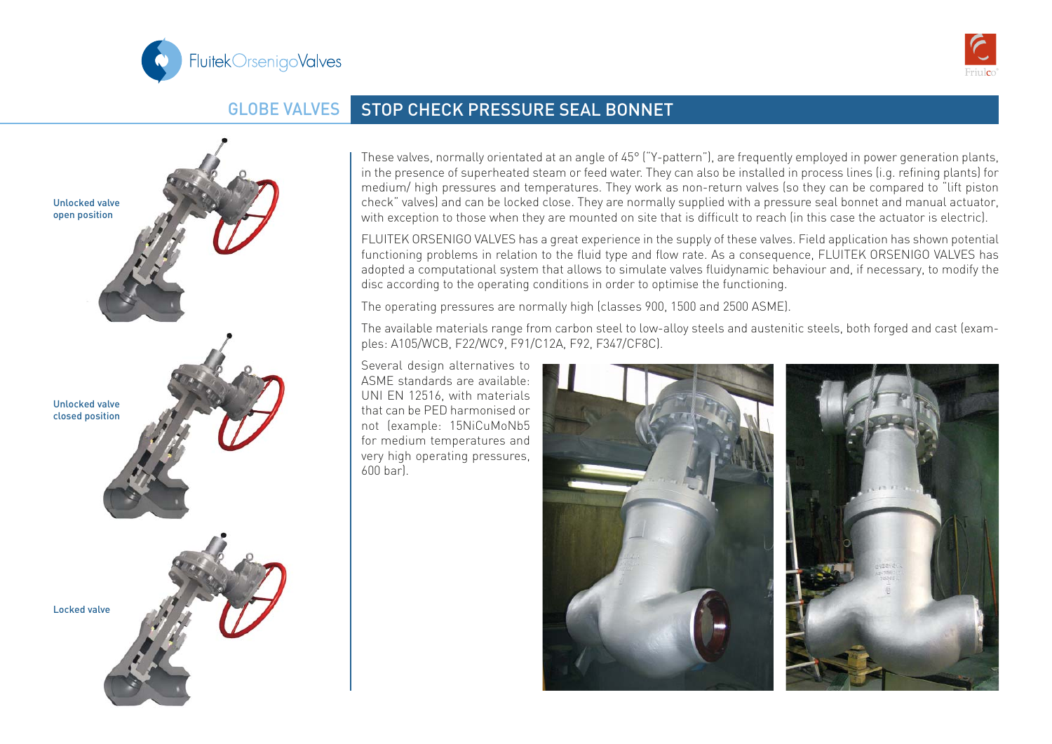



## GLOBE VALVES STOP CHECK PRESSURE SEAL BONNET



These valves, normally orientated at an angle of 45° ("Y-pattern"), are frequently employed in power generation plants, in the presence of superheated steam or feed water. They can also be installed in process lines (i.g. refining plants) for medium/ high pressures and temperatures. They work as non-return valves (so they can be compared to "lift piston check" valves) and can be locked close. They are normally supplied with a pressure seal bonnet and manual actuator, with exception to those when they are mounted on site that is difficult to reach (in this case the actuator is electric).

FLUITEK ORSENIGO VALVES has a great experience in the supply of these valves. Field application has shown potential functioning problems in relation to the fluid type and flow rate. As a consequence, FLUITEK ORSENIGO VALVES has adopted a computational system that allows to simulate valves fluidynamic behaviour and, if necessary, to modify the disc according to the operating conditions in order to optimise the functioning.

The operating pressures are normally high (classes 900, 1500 and 2500 ASME).

The available materials range from carbon steel to low-alloy steels and austenitic steels, both forged and cast (examples: A105/WCB, F22/WC9, F91/C12A, F92, F347/CF8C).

Several design alternatives to ASME standards are available: UNI EN 12516, with materials that can be PED harmonised or not (example: 15NiCuMoNb5 for medium temperatures and very high operating pressures, 600 bar).